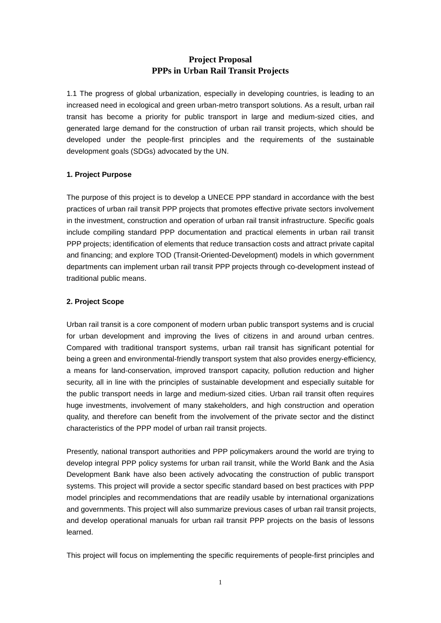# **Project Proposal PPPs in Urban Rail Transit Projects**

1.1 The progress of global urbanization, especially in developing countries, is leading to an increased need in ecological and green urban-metro transport solutions. As a result, urban rail transit has become a priority for public transport in large and medium-sized cities, and generated large demand for the construction of urban rail transit projects, which should be developed under the people-first principles and the requirements of the sustainable development goals (SDGs) advocated by the UN.

## **1. Project Purpose**

The purpose of this project is to develop a UNECE PPP standard in accordance with the best practices of urban rail transit PPP projects that promotes effective private sectors involvement in the investment, construction and operation of urban rail transit infrastructure. Specific goals include compiling standard PPP documentation and practical elements in urban rail transit PPP projects; identification of elements that reduce transaction costs and attract private capital and financing; and explore TOD (Transit-Oriented-Development) models in which government departments can implement urban rail transit PPP projects through co-development instead of traditional public means.

## **2. Project Scope**

Urban rail transit is a core component of modern urban public transport systems and is crucial for urban development and improving the lives of citizens in and around urban centres. Compared with traditional transport systems, urban rail transit has significant potential for being a green and environmental-friendly transport system that also provides energy-efficiency, a means for land-conservation, improved transport capacity, pollution reduction and higher security, all in line with the principles of sustainable development and especially suitable for the public transport needs in large and medium-sized cities. Urban rail transit often requires huge investments, involvement of many stakeholders, and high construction and operation quality, and therefore can benefit from the involvement of the private sector and the distinct characteristics of the PPP model of urban rail transit projects.

Presently, national transport authorities and PPP policymakers around the world are trying to develop integral PPP policy systems for urban rail transit, while the World Bank and the Asia Development Bank have also been actively advocating the construction of public transport systems. This project will provide a sector specific standard based on best practices with PPP model principles and recommendations that are readily usable by international organizations and governments. This project will also summarize previous cases of urban rail transit projects, and develop operational manuals for urban rail transit PPP projects on the basis of lessons learned.

This project will focus on implementing the specific requirements of people-first principles and